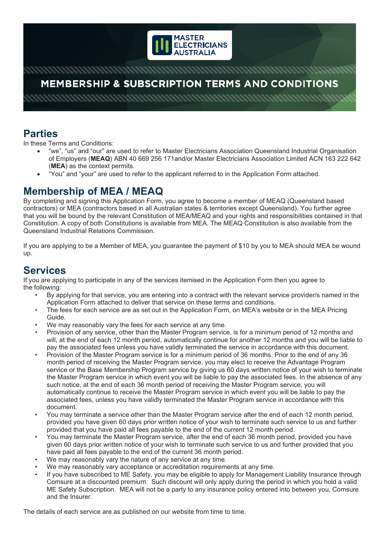

# **MEMBERSHIP & SUBSCRIPTION TERMS AND CONDITIONS**

### **Parties**

In these Terms and Conditions:

- "we", "us" and "our" are used to refer to Master Electricians Association Queensland Industrial Organisation of Employers (**MEAQ**) ABN 40 669 256 171and/or Master Electricians Association Limited ACN 163 222 642 (**MEA**) as the context permits.
- "You" and "your" are used to refer to the applicant referred to in the Application Form attached.

### **Membership of MEA / MEAQ**

By completing and signing this Application Form, you agree to become a member of MEAQ (Queensland based contractors) or MEA (contractors based in all Australian states & territories except Queensland). You further agree that you will be bound by the relevant Constitution of MEA/MEAQ and your rights and responsibilities contained in that Constitution. A copy of both Constitutions is available from MEA. The MEAQ Constitution is also available from the Queensland Industrial Relations Commission.

If you are applying to be a Member of MEA, you guarantee the payment of \$10 by you to MEA should MEA be wound up.

#### **Services**

If you are applying to participate in any of the services itemised in the Application Form then you agree to the following:

- By applying for that service, you are entering into a contract with the relevant service provider/s named in the Application Form attached to deliver that service on these terms and conditions.
- The fees for each service are as set out in the Application Form, on MEA's website or in the MEA Pricing Guide.
- We may reasonably vary the fees for each service at any time.
- Provision of any service, other than the Master Program service, is for a minimum period of 12 months and will, at the end of each 12 month period, automatically continue for another 12 months and you will be liable to pay the associated fees unless you have validly terminated the service in accordance with this document.
- Provision of the Master Program service is for a minimum period of 36 months. Prior to the end of any 36 month period of receiving the Master Program service, you may elect to receive the Advantage Program service or the Base Membership Program service by giving us 60 days written notice of your wish to terminate the Master Program service in which event you will be liable to pay the associated fees. In the absence of any such notice, at the end of each 36 month period of receiving the Master Program service, you will automatically continue to receive the Master Program service in which event you will be liable to pay the associated fees, unless you have validly terminated the Master Program service in accordance with this document.
- You may terminate a service other than the Master Program service after the end of each 12 month period, provided you have given 60 days prior written notice of your wish to terminate such service to us and further provided that you have paid all fees payable to the end of the current 12 month period.
- You may terminate the Master Program service, after the end of each 36 month period, provided you have given 60 days prior written notice of your wish to terminate such service to us and further provided that you have paid all fees payable to the end of the current 36 month period.
- We may reasonably vary the nature of any service at any time.
- We may reasonably vary acceptance or accreditation requirements at any time.
- If you have subscribed to ME Safety, you may be eligible to apply for Management Liability Insurance through Comsure at a discounted premium. Such discount will only apply during the period in which you hold a valid ME Safety Subscription. MEA will not be a party to any insurance policy entered into between you, Comsure and the Insurer.

The details of each service are as published on our website from time to time.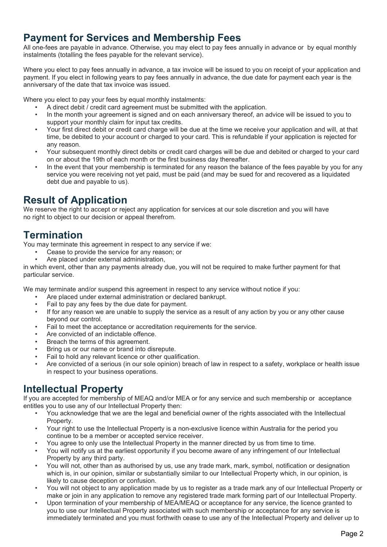### **Payment for Services and Membership Fees**

All one-fees are payable in advance. Otherwise, you may elect to pay fees annually in advance or by equal monthly instalments (totalling the fees payable for the relevant service).

Where you elect to pay fees annually in advance, a tax invoice will be issued to you on receipt of your application and payment. If you elect in following years to pay fees annually in advance, the due date for payment each year is the anniversary of the date that tax invoice was issued.

Where you elect to pay your fees by equal monthly instalments:

- A direct debit / credit card agreement must be submitted with the application.
- In the month your agreement is signed and on each anniversary thereof, an advice will be issued to you to support your monthly claim for input tax credits.
- Your first direct debit or credit card charge will be due at the time we receive your application and will, at that time, be debited to your account or charged to your card. This is refundable if your application is rejected for any reason.
- Your subsequent monthly direct debits or credit card charges will be due and debited or charged to your card on or about the 19th of each month or the first business day thereafter.
- In the event that your membership is terminated for any reason the balance of the fees payable by you for any service you were receiving not yet paid, must be paid (and may be sued for and recovered as a liquidated debt due and payable to us).

# **Result of Application**

We reserve the right to accept or reject any application for services at our sole discretion and you will have no right to object to our decision or appeal therefrom.

# **Termination**

You may terminate this agreement in respect to any service if we:

- Cease to provide the service for any reason; or
- Are placed under external administration,

in which event, other than any payments already due, you will not be required to make further payment for that particular service.

We may terminate and/or suspend this agreement in respect to any service without notice if you:

- Are placed under external administration or declared bankrupt.
- Fail to pay any fees by the due date for payment.
- If for any reason we are unable to supply the service as a result of any action by you or any other cause beyond our control.
- Fail to meet the acceptance or accreditation requirements for the service.
- Are convicted of an indictable offence.
- Breach the terms of this agreement.
- Bring us or our name or brand into disrepute.
- Fail to hold any relevant licence or other qualification.
- Are convicted of a serious (in our sole opinion) breach of law in respect to a safety, workplace or health issue in respect to your business operations.

## **Intellectual Property**

If you are accepted for membership of MEAQ and/or MEA or for any service and such membership or acceptance entitles you to use any of our Intellectual Property then:

- You acknowledge that we are the legal and beneficial owner of the rights associated with the Intellectual Property.
- Your right to use the Intellectual Property is a non-exclusive licence within Australia for the period you continue to be a member or accepted service receiver.
- You agree to only use the Intellectual Property in the manner directed by us from time to time.
- You will notify us at the earliest opportunity if you become aware of any infringement of our Intellectual Property by any third party.
- You will not, other than as authorised by us, use any trade mark, mark, symbol, notification or designation which is, in our opinion, similar or substantially similar to our Intellectual Property which, in our opinion, is likely to cause deception or confusion.
- You will not object to any application made by us to register as a trade mark any of our Intellectual Property or make or join in any application to remove any registered trade mark forming part of our Intellectual Property.
- Upon termination of your membership of MEA/MEAQ or acceptance for any service, the licence granted to you to use our Intellectual Property associated with such membership or acceptance for any service is immediately terminated and you must forthwith cease to use any of the Intellectual Property and deliver up to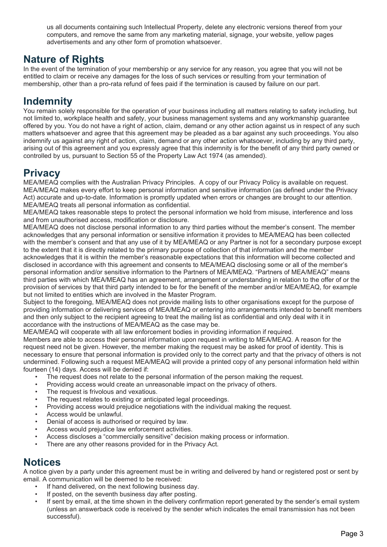us all documents containing such Intellectual Property, delete any electronic versions thereof from your computers, and remove the same from any marketing material, signage, your website, yellow pages advertisements and any other form of promotion whatsoever.

### **Nature of Rights**

In the event of the termination of your membership or any service for any reason, you agree that you will not be entitled to claim or receive any damages for the loss of such services or resulting from your termination of membership, other than a pro-rata refund of fees paid if the termination is caused by failure on our part.

## **Indemnity**

You remain solely responsible for the operation of your business including all matters relating to safety including, but not limited to, workplace health and safety, your business management systems and any workmanship guarantee offered by you. You do not have a right of action, claim, demand or any other action against us in respect of any such matters whatsoever and agree that this agreement may be pleaded as a bar against any such proceedings. You also indemnify us against any right of action, claim, demand or any other action whatsoever, including by any third party, arising out of this agreement and you expressly agree that this indemnity is for the benefit of any third party owned or controlled by us, pursuant to Section 55 of the Property Law Act 1974 (as amended).

# **Privacy**

MEA/MEAQ complies with the Australian Privacy Principles. A copy of our Privacy Policy is available on request. MEA/MEAQ makes every effort to keep personal information and sensitive information (as defined under the Privacy Act) accurate and up-to-date. Information is promptly updated when errors or changes are brought to our attention. MEA/MEAQ treats all personal information as confidential.

MEA/MEAQ takes reasonable steps to protect the personal information we hold from misuse, interference and loss and from unauthorised access, modification or disclosure.

MEA/MEAQ does not disclose personal information to any third parties without the member's consent. The member acknowledges that any personal information or sensitive information it provides to MEA/MEAQ has been collected with the member's consent and that any use of it by MEA/MEAQ or any Partner is not for a secondary purpose except to the extent that it is directly related to the primary purpose of collection of that information and the member acknowledges that it is within the member's reasonable expectations that this information will become collected and disclosed in accordance with this agreement and consents to MEA/MEAQ disclosing some or all of the member's personal information and/or sensitive information to the Partners of MEA/MEAQ. "Partners of MEA/MEAQ" means third parties with which MEA/MEAQ has an agreement, arrangement or understanding in relation to the offer of or the provision of services by that third party intended to be for the benefit of the member and/or MEA/MEAQ, for example but not limited to entities which are involved in the Master Program.

Subject to the foregoing, MEA/MEAQ does not provide mailing lists to other organisations except for the purpose of providing information or delivering services of MEA/MEAQ or entering into arrangements intended to benefit members and then only subject to the recipient agreeing to treat the mailing list as confidential and only deal with it in accordance with the instructions of MEA/MEAQ as the case may be.

MEA/MEAQ will cooperate with all law enforcement bodies in providing information if required.

Members are able to access their personal information upon request in writing to MEA/MEAQ. A reason for the request need not be given. However, the member making the request may be asked for proof of identity. This is necessary to ensure that personal information is provided only to the correct party and that the privacy of others is not undermined. Following such a request MEA/MEAQ will provide a printed copy of any personal information held within fourteen (14) days. Access will be denied if:

- The request does not relate to the personal information of the person making the request.
- Providing access would create an unreasonable impact on the privacy of others.
- The request is frivolous and vexatious.
- The request relates to existing or anticipated legal proceedings.
- Providing access would prejudice negotiations with the individual making the request.
- Access would be unlawful.
- Denial of access is authorised or required by law.
- Access would prejudice law enforcement activities.
- Access discloses a "commercially sensitive" decision making process or information.
- There are any other reasons provided for in the Privacy Act.

#### **Notices**

A notice given by a party under this agreement must be in writing and delivered by hand or registered post or sent by email. A communication will be deemed to be received:

- If hand delivered, on the next following business day.
- If posted, on the seventh business day after posting.
- If sent by email, at the time shown in the delivery confirmation report generated by the sender's email system (unless an answerback code is received by the sender which indicates the email transmission has not been successful).